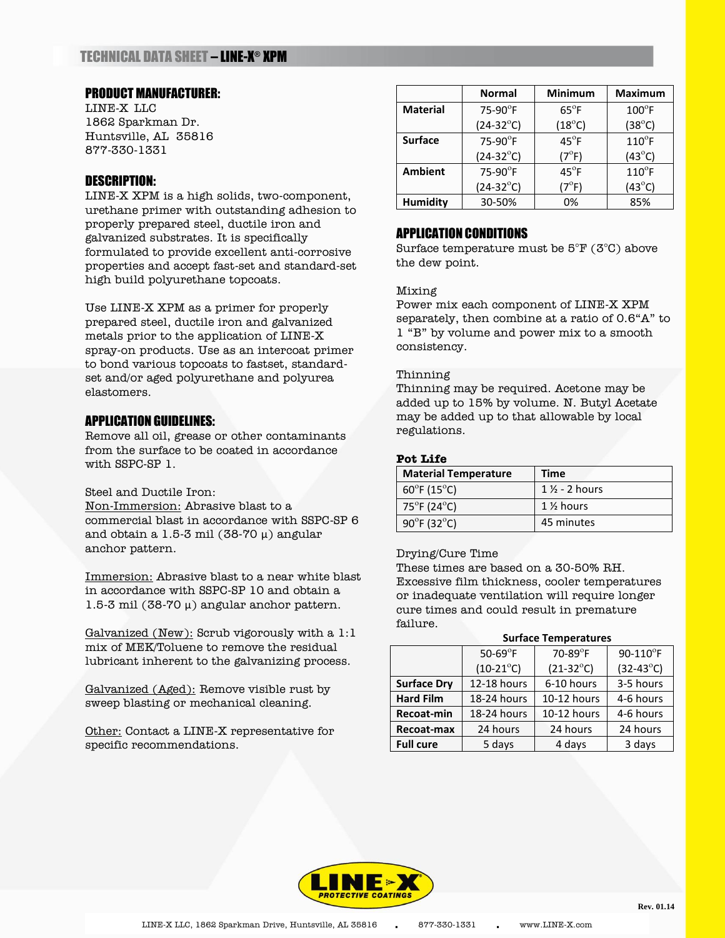# TECHNICAL DATA SHEET – LINE-X ® XPM

## PRODUCT MANUFACTURER:

LINE-X LLC 1862 Sparkman Dr. Huntsville, AL 35816 877-330-1331

# DESCRIPTION:

LINE-X XPM is a high solids, two-component, urethane primer with outstanding adhesion to properly prepared steel, ductile iron and galvanized substrates. It is specifically formulated to provide excellent anti-corrosive properties and accept fast-set and standard-set high build polyurethane topcoats.

Use LINE-X XPM as a primer for properly prepared steel, ductile iron and galvanized metals prior to the application of LINE-X spray-on products. Use as an intercoat primer to bond various topcoats to fastset, standardset and/or aged polyurethane and polyurea elastomers.

## APPLICATION GUIDELINES:

Remove all oil, grease or other contaminants from the surface to be coated in accordance with SSPC-SP 1.

## Steel and Ductile Iron:

Non-Immersion: Abrasive blast to a commercial blast in accordance with SSPC-SP 6 and obtain a 1.5-3 mil (38-70  $\mu$ ) angular anchor pattern.

Immersion: Abrasive blast to a near white blast in accordance with SSPC-SP 10 and obtain a 1.5-3 mil (38-70 μ) angular anchor pattern.

Galvanized (New): Scrub vigorously with a 1:1 mix of MEK/Toluene to remove the residual lubricant inherent to the galvanizing process.

Galvanized (Aged): Remove visible rust by sweep blasting or mechanical cleaning.

Other: Contact a LINE-X representative for specific recommendations.

|                 | <b>Normal</b>      | <b>Minimum</b>  | <b>Maximum</b>  |
|-----------------|--------------------|-----------------|-----------------|
| <b>Material</b> | $75-90$ °F         | $65^{\circ}$ F  | $100^{\circ}$ F |
|                 | $(24-32^{\circ}C)$ | $(18^{\circ}C)$ | $(38^{\circ}C)$ |
| <b>Surface</b>  | 75-90°F            | $45^{\circ}$ F  | $110^{\circ}$ F |
|                 | $(24-32^{\circ}C)$ | $(7^{\circ}F)$  | $(43^{\circ}C)$ |
| <b>Ambient</b>  | 75-90°F            | $45^{\circ}$ F  | $110^{\circ}$ F |
|                 | $(24-32^{\circ}C)$ | $(7^{\circ}F)$  | $(43^{\circ}C)$ |
| <b>Humidity</b> | 30-50%             | 0%              | 85%             |

# APPLICATION CONDITIONS

Surface temperature must be 5°F (3°C) above the dew point.

## Mixing

Power mix each component of LINE-X XPM separately, then combine at a ratio of 0.6"A" to 1 "B" by volume and power mix to a smooth consistency.

## Thinning

Thinning may be required. Acetone may be added up to 15% by volume. N. Butyl Acetate may be added up to that allowable by local regulations.

## **Pot Life**

| <b>Material Temperature</b>                        | Time                                |
|----------------------------------------------------|-------------------------------------|
| $60^{\circ}$ F (15 $^{\circ}$ C)                   | $1\frac{1}{2}$ - 2 hours            |
| 75 $\mathrm{^{\circ}F}$ (24 $\mathrm{^{\circ}C}$ ) | 1 <sup>1</sup> / <sub>2</sub> hours |
| $90^{\circ}$ F (32 $^{\circ}$ C)                   | 45 minutes                          |

#### Drying/Cure Time

These times are based on a 30-50% RH. Excessive film thickness, cooler temperatures or inadequate ventilation will require longer cure times and could result in premature failure.

#### **Surface Temperatures**

|                    | 50-69 $\mathrm{^{\circ}F}$ | $70-89$ °F         | 90-110°F           |
|--------------------|----------------------------|--------------------|--------------------|
|                    | $(10-21^{\circ}C)$         | $(21-32^{\circ}C)$ | $(32-43^{\circ}C)$ |
| <b>Surface Dry</b> | 12-18 hours                | 6-10 hours         | 3-5 hours          |
| <b>Hard Film</b>   | 18-24 hours                | 10-12 hours        | 4-6 hours          |
| Recoat-min         | 18-24 hours                | 10-12 hours        | 4-6 hours          |
| Recoat-max         | 24 hours                   | 24 hours           | 24 hours           |
| <b>Full cure</b>   | 5 days                     | 4 days             | 3 days             |